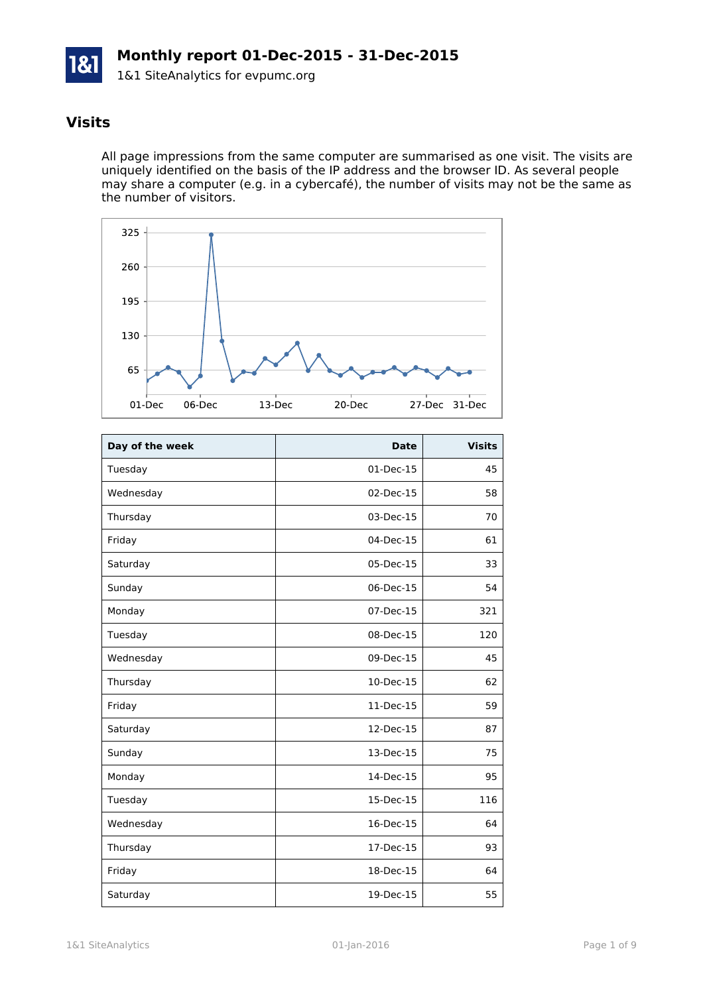

## **Visits**

All page impressions from the same computer are summarised as one visit. The visits are uniquely identified on the basis of the IP address and the browser ID. As several people may share a computer (e.g. in a cybercafé), the number of visits may not be the same as the number of visitors.



| Day of the week | <b>Date</b> | <b>Visits</b> |
|-----------------|-------------|---------------|
| Tuesday         | 01-Dec-15   | 45            |
| Wednesday       | 02-Dec-15   | 58            |
| Thursday        | 03-Dec-15   | 70            |
| Friday          | 04-Dec-15   | 61            |
| Saturday        | 05-Dec-15   | 33            |
| Sunday          | 06-Dec-15   | 54            |
| Monday          | 07-Dec-15   | 321           |
| Tuesday         | 08-Dec-15   | 120           |
| Wednesday       | 09-Dec-15   | 45            |
| Thursday        | 10-Dec-15   | 62            |
| Friday          | 11-Dec-15   | 59            |
| Saturday        | 12-Dec-15   | 87            |
| Sunday          | 13-Dec-15   | 75            |
| Monday          | 14-Dec-15   | 95            |
| Tuesday         | 15-Dec-15   | 116           |
| Wednesday       | 16-Dec-15   | 64            |
| Thursday        | 17-Dec-15   | 93            |
| Friday          | 18-Dec-15   | 64            |
| Saturday        | 19-Dec-15   | 55            |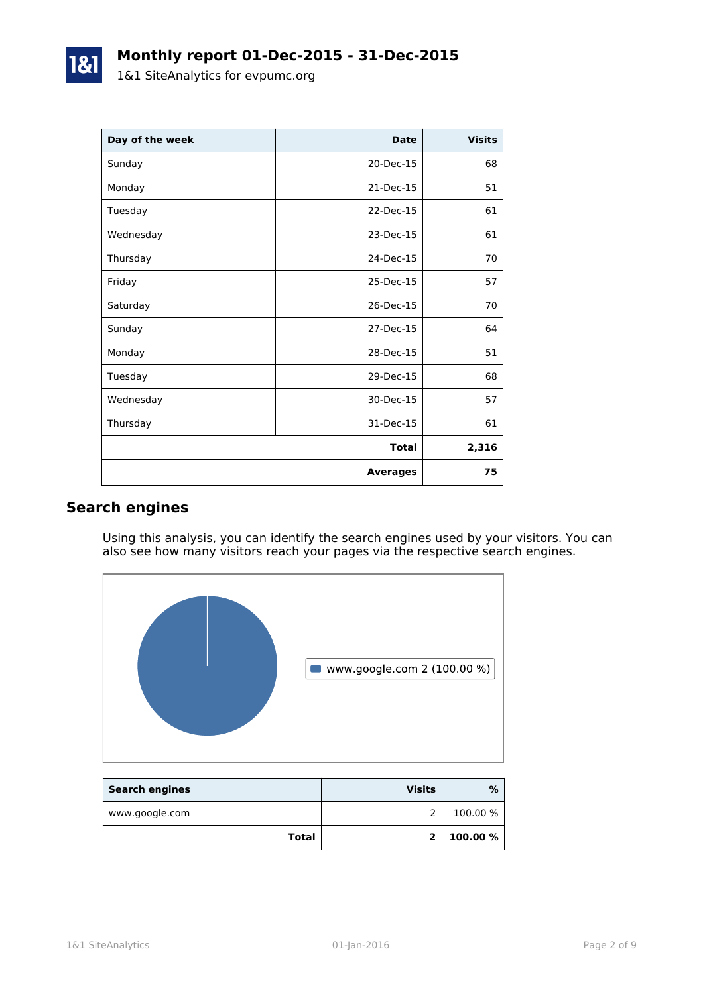| Day of the week | <b>Date</b>     | <b>Visits</b> |
|-----------------|-----------------|---------------|
| Sunday          | 20-Dec-15       | 68            |
| Monday          | 21-Dec-15       | 51            |
| Tuesday         | 22-Dec-15       | 61            |
| Wednesday       | 23-Dec-15       | 61            |
| Thursday        | 24-Dec-15       | 70            |
| Friday          | 25-Dec-15       | 57            |
| Saturday        | 26-Dec-15       | 70            |
| Sunday          | 27-Dec-15       | 64            |
| Monday          | 28-Dec-15       | 51            |
| Tuesday         | 29-Dec-15       | 68            |
| Wednesday       | 30-Dec-15       | 57            |
| Thursday        | 31-Dec-15       | 61            |
|                 | <b>Total</b>    | 2,316         |
|                 | <b>Averages</b> | 75            |

## **Search engines**

Using this analysis, you can identify the search engines used by your visitors. You can also see how many visitors reach your pages via the respective search engines.



| <b>Search engines</b> | <b>Visits</b> | %        |
|-----------------------|---------------|----------|
| www.google.com        |               | 100.00 % |
| Total                 | $\mathbf{z}$  | 100.00 % |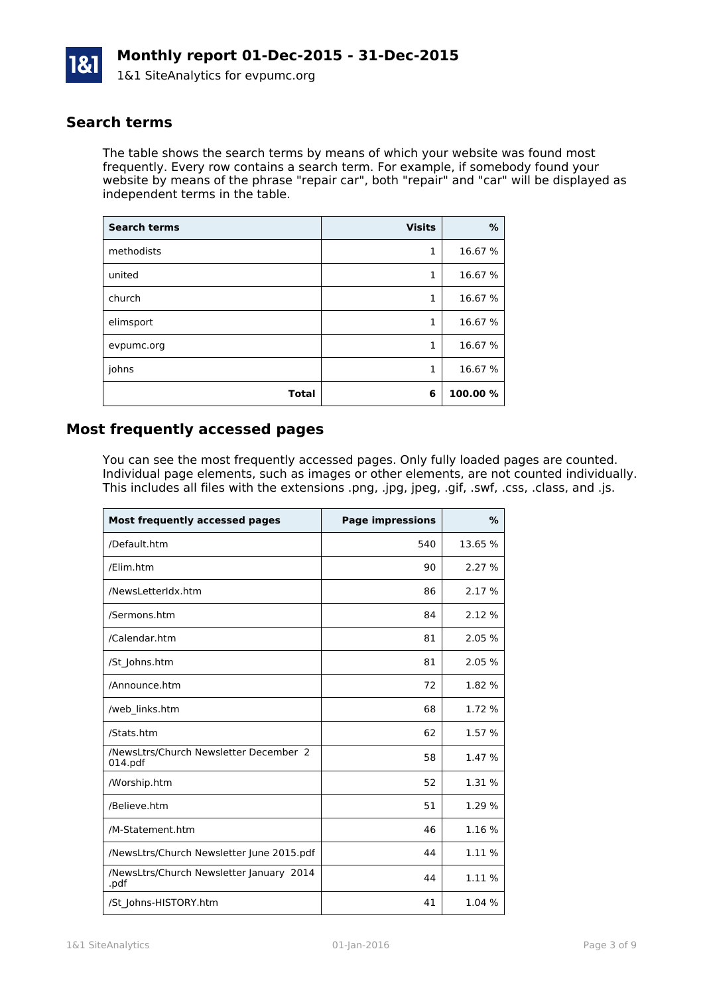

#### **Search terms**

The table shows the search terms by means of which your website was found most frequently. Every row contains a search term. For example, if somebody found your website by means of the phrase "repair car", both "repair" and "car" will be displayed as independent terms in the table.

| <b>Search terms</b> | <b>Visits</b> | %        |
|---------------------|---------------|----------|
| methodists          | 1             | 16.67 %  |
| united              | 1             | 16.67 %  |
| church              | 1             | 16.67 %  |
| elimsport           | 1             | 16.67 %  |
| evpumc.org          | 1             | 16.67 %  |
| johns               | 1             | 16.67 %  |
| <b>Total</b>        | 6             | 100.00 % |

#### **Most frequently accessed pages**

You can see the most frequently accessed pages. Only fully loaded pages are counted. Individual page elements, such as images or other elements, are not counted individually. This includes all files with the extensions .png, .jpg, jpeg, .gif, .swf, .css, .class, and .js.

| Most frequently accessed pages                    | <b>Page impressions</b> | $\frac{9}{6}$ |
|---------------------------------------------------|-------------------------|---------------|
| /Default.htm                                      | 540                     | 13.65 %       |
| /Elim.htm                                         | 90                      | 2.27%         |
| /NewsLetterIdx.htm                                | 86                      | 2.17 %        |
| /Sermons.htm                                      | 84                      | 2.12%         |
| /Calendar.htm                                     | 81                      | 2.05%         |
| /St_Johns.htm                                     | 81                      | 2.05%         |
| /Announce.htm                                     | 72                      | 1.82 %        |
| /web links.htm                                    | 68                      | 1.72 %        |
| /Stats.htm                                        | 62                      | 1.57 %        |
| /NewsLtrs/Church Newsletter December 2<br>014.pdf | 58                      | 1.47 %        |
| /Worship.htm                                      | 52                      | 1.31 %        |
| /Believe.htm                                      | 51                      | 1.29 %        |
| /M-Statement.htm                                  | 46                      | 1.16%         |
| /NewsLtrs/Church Newsletter June 2015.pdf         | 44                      | 1.11 %        |
| /NewsLtrs/Church Newsletter January 2014<br>.pdf  | 44                      | 1.11 %        |
| /St Johns-HISTORY.htm                             | 41                      | 1.04 %        |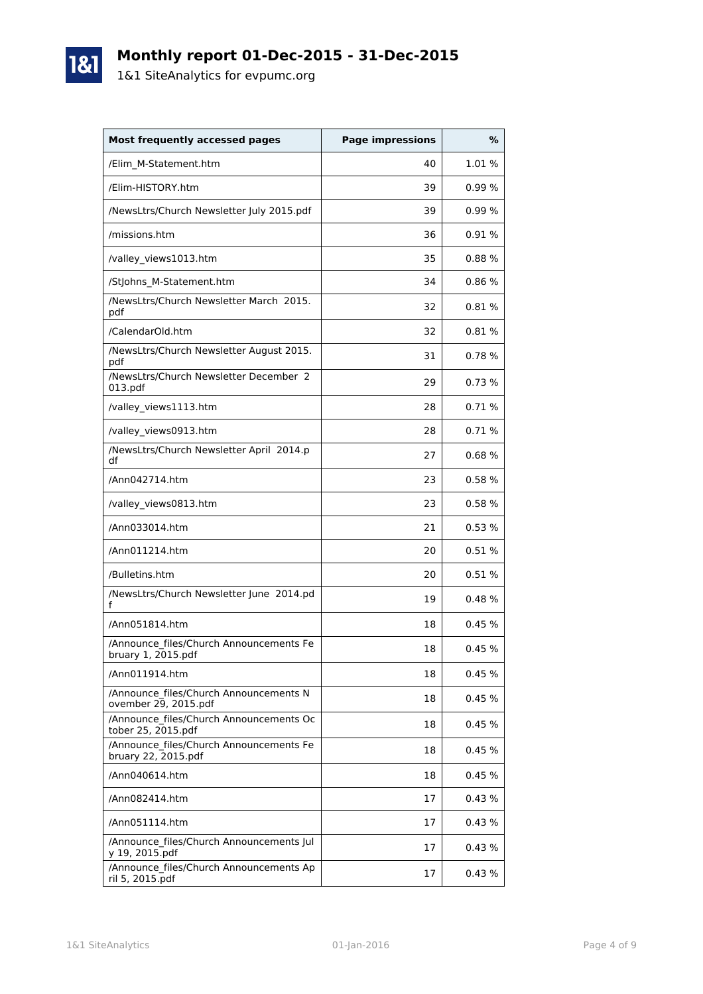# **Monthly report 01-Dec-2015 - 31-Dec-2015**

1&1 SiteAnalytics for evpumc.org

1&1

| <b>Most frequently accessed pages</b>                          | <b>Page impressions</b> | %      |
|----------------------------------------------------------------|-------------------------|--------|
| /Elim_M-Statement.htm                                          | 40                      | 1.01%  |
| /Elim-HISTORY.htm                                              | 39                      | 0.99%  |
| /NewsLtrs/Church Newsletter July 2015.pdf                      | 39                      | 0.99%  |
| /missions.htm                                                  | 36                      | 0.91%  |
| /valley views1013.htm                                          | 35                      | 0.88%  |
| /StJohns_M-Statement.htm                                       | 34                      | 0.86%  |
| /NewsLtrs/Church Newsletter March 2015.<br>pdf                 | 32                      | 0.81%  |
| /CalendarOld.htm                                               | 32                      | 0.81%  |
| /NewsLtrs/Church Newsletter August 2015.<br>pdf                | 31                      | 0.78%  |
| /NewsLtrs/Church Newsletter December 2<br>013.pdf              | 29                      | 0.73%  |
| /valley_views1113.htm                                          | 28                      | 0.71%  |
| /valley_views0913.htm                                          | 28                      | 0.71%  |
| /NewsLtrs/Church Newsletter April 2014.p<br>df                 | 27                      | 0.68%  |
| /Ann042714.htm                                                 | 23                      | 0.58%  |
| /valley_views0813.htm                                          | 23                      | 0.58%  |
| /Ann033014.htm                                                 | 21                      | 0.53%  |
| /Ann011214.htm                                                 | 20                      | 0.51%  |
| /Bulletins.htm                                                 | 20                      | 0.51%  |
| /NewsLtrs/Church Newsletter June 2014.pd<br>f                  | 19                      | 0.48%  |
| /Ann051814.htm                                                 | 18                      | 0.45%  |
| /Announce files/Church Announcements Fe<br>bruary 1, 2015.pdf  | 18                      | 0.45%  |
| /Ann011914.htm                                                 | 18                      | 0.45%  |
| /Announce files/Church Announcements N<br>ovember 29, 2015.pdf | 18                      | 0.45%  |
| /Announce files/Church Announcements Oc<br>tober 25, 2015.pdf  | 18                      | 0.45%  |
| /Announce files/Church Announcements Fe<br>bruary 22, 2015.pdf | 18                      | 0.45%  |
| /Ann040614.htm                                                 | 18                      | 0.45%  |
| /Ann082414.htm                                                 | 17                      | 0.43%  |
| /Ann051114.htm                                                 | 17                      | 0.43%  |
| /Announce files/Church Announcements Jul<br>y 19, 2015.pdf     | 17                      | 0.43 % |
| /Announce files/Church Announcements Ap<br>ril 5, 2015.pdf     | 17                      | 0.43%  |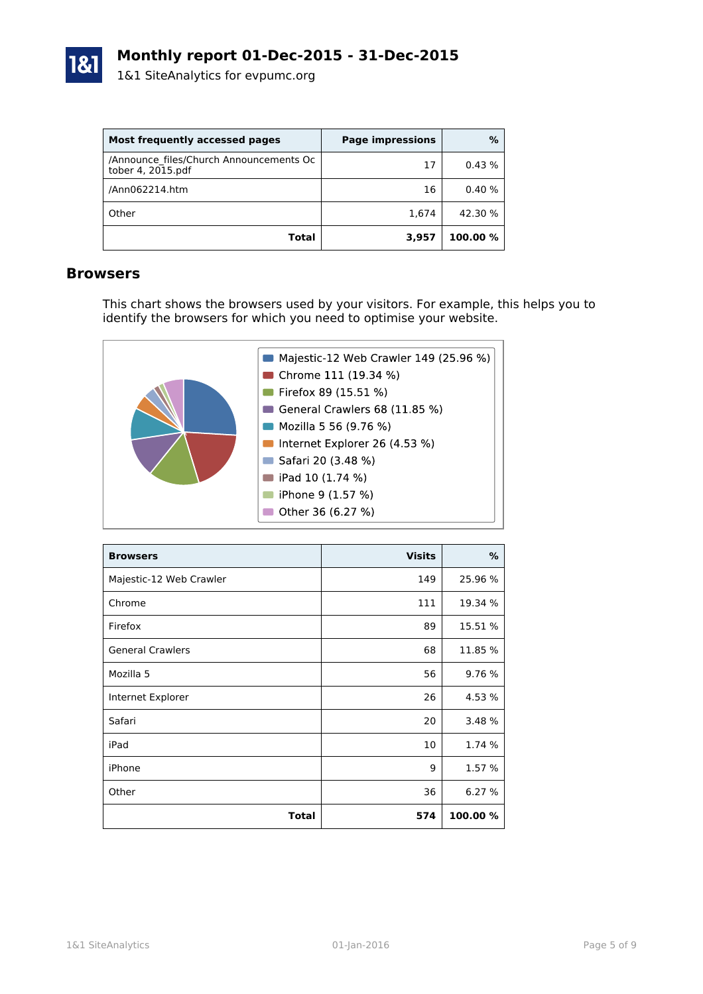

| Most frequently accessed pages                               | <b>Page impressions</b> | %        |
|--------------------------------------------------------------|-------------------------|----------|
| /Announce files/Church Announcements Oc<br>tober 4, 2015.pdf | 17                      | 0.43%    |
| /Ann062214.htm                                               | 16                      | 0.40%    |
| Other                                                        | 1,674                   | 42.30 %  |
| Total                                                        | 3,957                   | 100.00 % |

#### **Browsers**

This chart shows the browsers used by your visitors. For example, this helps you to identify the browsers for which you need to optimise your website.



| <b>Browsers</b>         | <b>Visits</b> | %        |
|-------------------------|---------------|----------|
| Majestic-12 Web Crawler | 149           | 25.96 %  |
| Chrome                  | 111           | 19.34 %  |
| Firefox                 | 89            | 15.51 %  |
| <b>General Crawlers</b> | 68            | 11.85 %  |
| Mozilla 5               | 56            | 9.76 %   |
| Internet Explorer       | 26            | 4.53 %   |
| Safari                  | 20            | 3.48 %   |
| iPad                    | 10            | 1.74 %   |
| iPhone                  | 9             | 1.57 %   |
| Other                   | 36            | 6.27 %   |
| <b>Total</b>            | 574           | 100.00 % |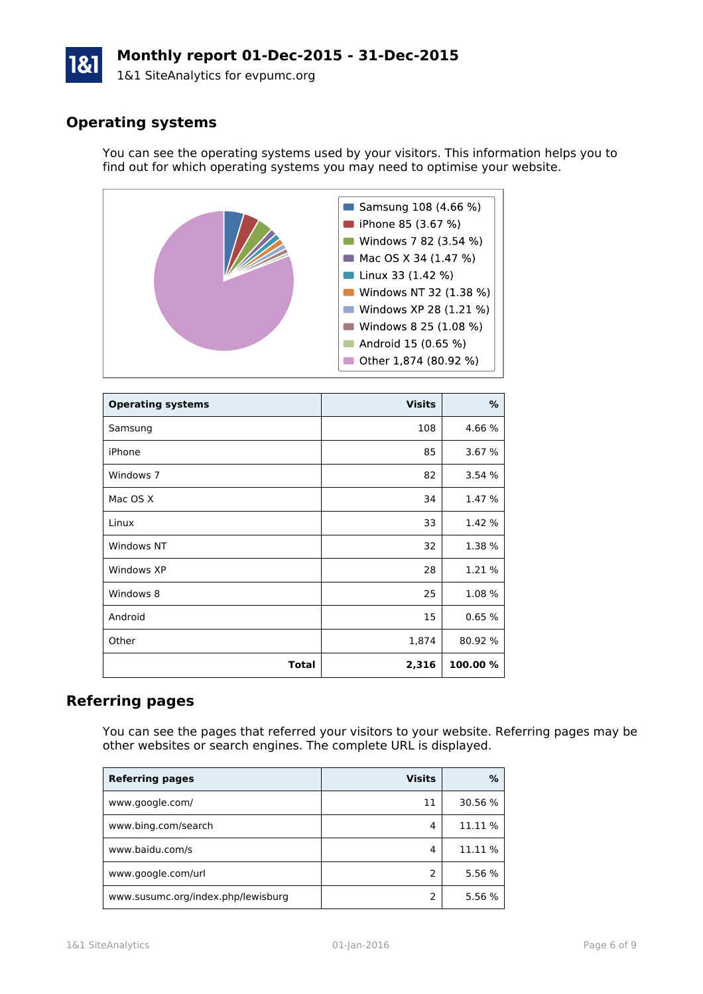# **Monthly report 01-Dec-2015 - 31-Dec-2015**

1&1 SiteAnalytics for evpumc.org

# **Operating systems**

You can see the operating systems used by your visitors. This information helps you to find out for which operating systems you may need to optimise your website.



| <b>Operating systems</b> | <b>Visits</b> | ℅        |
|--------------------------|---------------|----------|
| Samsung                  | 108           | 4.66 %   |
| iPhone                   | 85            | 3.67 %   |
| Windows 7                | 82            | 3.54%    |
| Mac OS X                 | 34            | 1.47 %   |
| Linux                    | 33            | 1.42 %   |
| <b>Windows NT</b>        | 32            | 1.38 %   |
| Windows XP               | 28            | 1.21 %   |
| Windows 8                | 25            | 1.08%    |
| Android                  | 15            | 0.65%    |
| Other                    | 1,874         | 80.92 %  |
| Total                    | 2,316         | 100.00 % |

## **Referring pages**

You can see the pages that referred your visitors to your website. Referring pages may be other websites or search engines. The complete URL is displayed.

| <b>Referring pages</b>             | <b>Visits</b> | ℅       |
|------------------------------------|---------------|---------|
| www.google.com/                    | 11            | 30.56 % |
| www.bing.com/search                | 4             | 11.11 % |
| www.baidu.com/s                    | 4             | 11.11 % |
| www.google.com/url                 | 2             | 5.56 %  |
| www.susumc.org/index.php/lewisburg |               | 5.56 %  |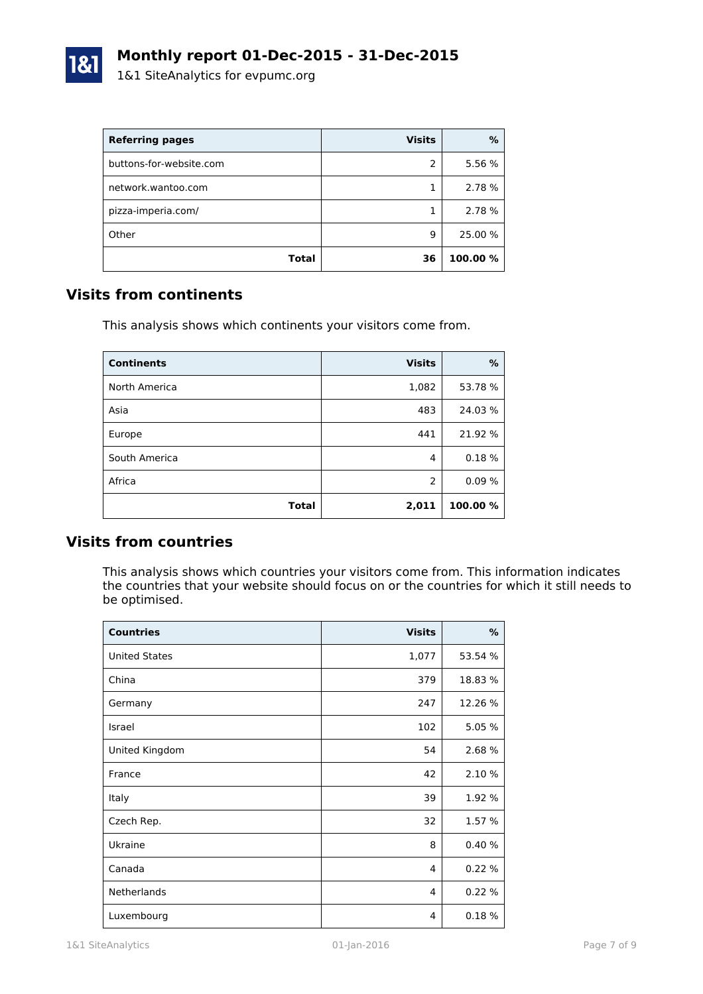

| <b>Referring pages</b>  | <b>Visits</b> | %        |
|-------------------------|---------------|----------|
| buttons-for-website.com | 2             | 5.56 %   |
| network.wantoo.com      |               | 2.78 %   |
| pizza-imperia.com/      |               | 2.78 %   |
| Other                   | 9             | 25.00 %  |
| Total                   | 36            | 100.00 % |

## **Visits from continents**

This analysis shows which continents your visitors come from.

| <b>Continents</b> | <b>Visits</b>  | %        |
|-------------------|----------------|----------|
| North America     | 1,082          | 53.78 %  |
| Asia              | 483            | 24.03%   |
| Europe            | 441            | 21.92 %  |
| South America     | 4              | 0.18%    |
| Africa            | $\overline{2}$ | 0.09%    |
| <b>Total</b>      | 2,011          | 100.00 % |

#### **Visits from countries**

This analysis shows which countries your visitors come from. This information indicates the countries that your website should focus on or the countries for which it still needs to be optimised.

| <b>Countries</b>     | <b>Visits</b> | %       |
|----------------------|---------------|---------|
| <b>United States</b> | 1,077         | 53.54 % |
| China                | 379           | 18.83 % |
| Germany              | 247           | 12.26 % |
| Israel               | 102           | 5.05 %  |
| United Kingdom       | 54            | 2.68 %  |
| France               | 42            | 2.10 %  |
| Italy                | 39            | 1.92 %  |
| Czech Rep.           | 32            | 1.57 %  |
| Ukraine              | 8             | 0.40%   |
| Canada               | 4             | 0.22%   |
| <b>Netherlands</b>   | 4             | 0.22%   |
| Luxembourg           | 4             | 0.18%   |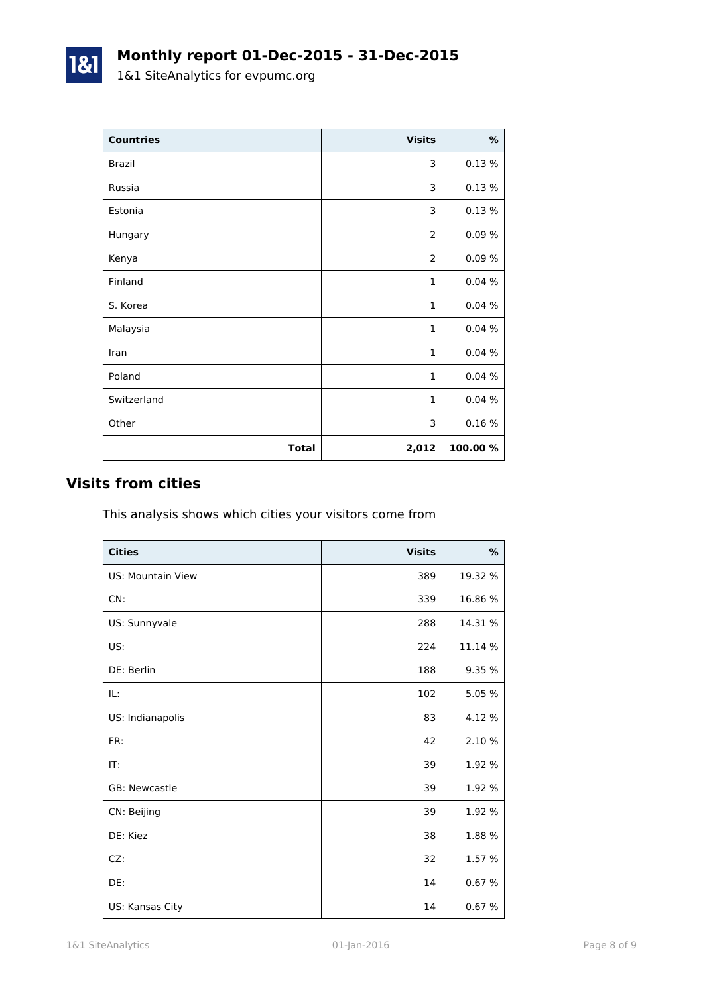| <b>Countries</b> | <b>Visits</b>  | %        |
|------------------|----------------|----------|
| <b>Brazil</b>    | 3              | 0.13%    |
| Russia           | 3              | 0.13%    |
| Estonia          | 3              | 0.13%    |
| Hungary          | 2              | 0.09%    |
| Kenya            | $\overline{2}$ | 0.09%    |
| Finland          | $\mathbf{1}$   | 0.04%    |
| S. Korea         | $\mathbf{1}$   | 0.04%    |
| Malaysia         | $\mathbf{1}$   | 0.04%    |
| Iran             | $\mathbf{1}$   | 0.04%    |
| Poland           | $\mathbf{1}$   | 0.04%    |
| Switzerland      | $\mathbf{1}$   | 0.04%    |
| Other            | 3              | 0.16 %   |
| <b>Total</b>     | 2,012          | 100.00 % |

## **Visits from cities**

This analysis shows which cities your visitors come from

| <b>Cities</b>     | <b>Visits</b> | $\%$    |
|-------------------|---------------|---------|
| US: Mountain View | 389           | 19.32 % |
| CN:               | 339           | 16.86 % |
| US: Sunnyvale     | 288           | 14.31 % |
| US:               | 224           | 11.14 % |
| DE: Berlin        | 188           | 9.35 %  |
| IL:               | 102           | 5.05 %  |
| US: Indianapolis  | 83            | 4.12 %  |
| FR:               | 42            | 2.10 %  |
| IT:               | 39            | 1.92 %  |
| GB: Newcastle     | 39            | 1.92 %  |
| CN: Beijing       | 39            | 1.92 %  |
| DE: Kiez          | 38            | 1.88 %  |
| CZ:               | 32            | 1.57 %  |
| DE:               | 14            | 0.67%   |
| US: Kansas City   | 14            | 0.67%   |